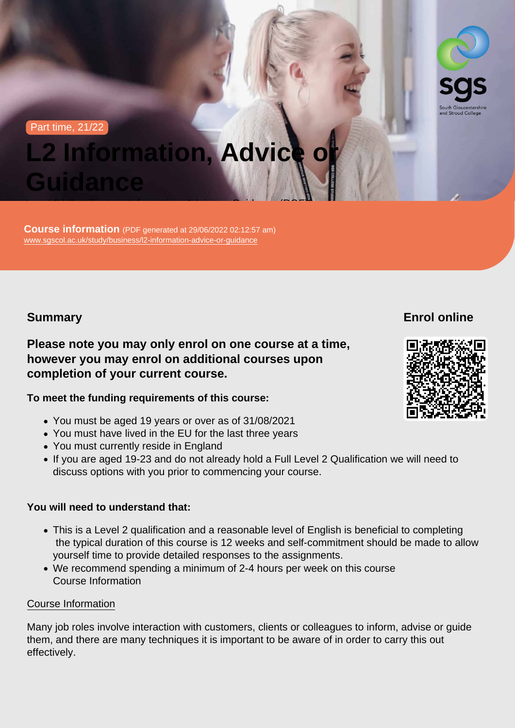#### Part time, 21/22

# L2 Information, Advice or **Guidance**

Level 2 | Certificate in Information, Advice or Guidance (RQF)

Course information (PDF generated at 29/06/2022 02:12:57 am) [www.sgscol.ac.uk/study/business/l2-information-advice-or-guidance](https://www.sgscol.ac.uk/study/business/l2-information-advice-or-guidance)

Summary

Enrol online

Please note you may only enrol on one course at a time, however you may enrol on additional courses upon completion of your current course.

To meet the funding requirements of this course:

- You must be aged 19 years or over as of 31/08/2021
- You must have lived in the EU for the last three years
- You must currently reside in England
- If you are aged 19-23 and do not already hold a Full Level 2 Qualification we will need to discuss options with you prior to commencing your course.

You will need to understand that:

- This is a Level 2 qualification and a reasonable level of English is beneficial to completing the typical duration of this course is 12 weeks and self-commitment should be made to allow yourself time to provide detailed responses to the assignments.
- We recommend spending a minimum of 2-4 hours per week on this course Course Information

#### Course Information

Many job roles involve interaction with customers, clients or colleagues to inform, advise or guide them, and there are many techniques it is important to be aware of in order to carry this out effectively.